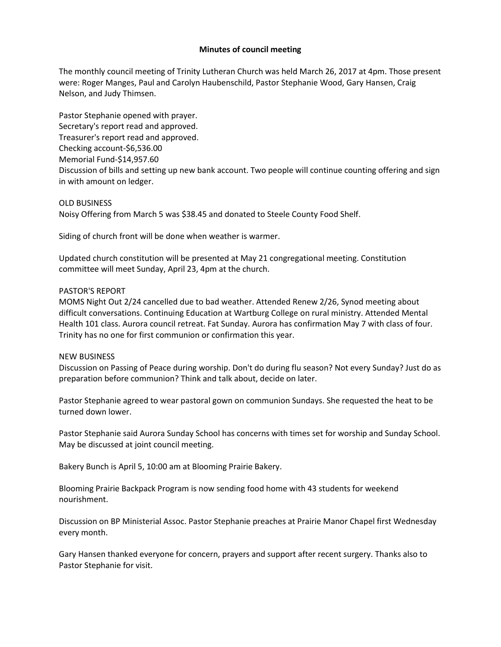## **Minutes of council meeting**

The monthly council meeting of Trinity Lutheran Church was held March 26, 2017 at 4pm. Those present were: Roger Manges, Paul and Carolyn Haubenschild, Pastor Stephanie Wood, Gary Hansen, Craig Nelson, and Judy Thimsen.

Pastor Stephanie opened with prayer. Secretary's report read and approved. Treasurer's report read and approved. Checking account-\$6,536.00 Memorial Fund-\$14,957.60 Discussion of bills and setting up new bank account. Two people will continue counting offering and sign in with amount on ledger.

OLD BUSINESS Noisy Offering from March 5 was \$38.45 and donated to Steele County Food Shelf.

Siding of church front will be done when weather is warmer.

Updated church constitution will be presented at May 21 congregational meeting. Constitution committee will meet Sunday, April 23, 4pm at the church.

## PASTOR'S REPORT

MOMS Night Out 2/24 cancelled due to bad weather. Attended Renew 2/26, Synod meeting about difficult conversations. Continuing Education at Wartburg College on rural ministry. Attended Mental Health 101 class. Aurora council retreat. Fat Sunday. Aurora has confirmation May 7 with class of four. Trinity has no one for first communion or confirmation this year.

## NEW BUSINESS

Discussion on Passing of Peace during worship. Don't do during flu season? Not every Sunday? Just do as preparation before communion? Think and talk about, decide on later.

Pastor Stephanie agreed to wear pastoral gown on communion Sundays. She requested the heat to be turned down lower.

Pastor Stephanie said Aurora Sunday School has concerns with times set for worship and Sunday School. May be discussed at joint council meeting.

Bakery Bunch is April 5, 10:00 am at Blooming Prairie Bakery.

Blooming Prairie Backpack Program is now sending food home with 43 students for weekend nourishment.

Discussion on BP Ministerial Assoc. Pastor Stephanie preaches at Prairie Manor Chapel first Wednesday every month.

Gary Hansen thanked everyone for concern, prayers and support after recent surgery. Thanks also to Pastor Stephanie for visit.